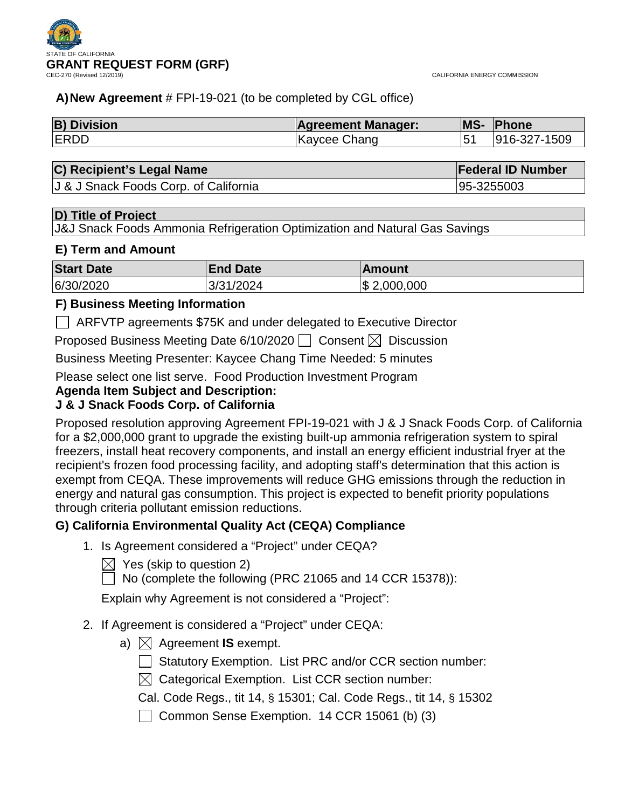

CALIFORNIA ENERGY COMMISSION

### **A)New Agreement** # FPI-19-021 (to be completed by CGL office)

| <b>B) Division</b> | <b>Agreement Manager:</b> | <b>MS-</b> | Phone        |
|--------------------|---------------------------|------------|--------------|
| <b>IERDD</b>       | Kaycee Chang              |            | 916-327-1509 |

| C) Recipient's Legal Name | <b>Federal ID Number</b> |
|---------------------------|--------------------------|
|                           |                          |

J & J Snack Foods Corp. of California 95-3255003

### **D) Title of Project**

J&J Snack Foods Ammonia Refrigeration Optimization and Natural Gas Savings

### **E) Term and Amount**

| <b>Start Date</b> | <b>End Date</b> | Amount          |
|-------------------|-----------------|-----------------|
| 6/30/2020         | 3/31/2024       | $\$\,2,000,000$ |

### **F) Business Meeting Information**

ARFVTP agreements \$75K and under delegated to Executive Director

Proposed Business Meeting Date 6/10/2020  $\Box$  Consent  $\boxtimes$  Discussion

Business Meeting Presenter: Kaycee Chang Time Needed: 5 minutes

Please select one list serve. Food Production Investment Program

### **Agenda Item Subject and Description:**

# **J & J Snack Foods Corp. of California**

Proposed resolution approving Agreement FPI-19-021 with J & J Snack Foods Corp. of California for a \$2,000,000 grant to upgrade the existing built-up ammonia refrigeration system to spiral freezers, install heat recovery components, and install an energy efficient industrial fryer at the recipient's frozen food processing facility, and adopting staff's determination that this action is exempt from CEQA. These improvements will reduce GHG emissions through the reduction in energy and natural gas consumption. This project is expected to benefit priority populations through criteria pollutant emission reductions.

# **G) California Environmental Quality Act (CEQA) Compliance**

- 1. Is Agreement considered a "Project" under CEQA?
	- $\boxtimes$  Yes (skip to question 2)

 $\Box$  No (complete the following (PRC 21065 and 14 CCR 15378)):

Explain why Agreement is not considered a "Project":

- 2. If Agreement is considered a "Project" under CEQA:
	- a)  $\boxtimes$  Agreement **IS** exempt.
		- $\Box$  Statutory Exemption. List PRC and/or CCR section number:
		- $\boxtimes$  Categorical Exemption. List CCR section number:
		- Cal. Code Regs., tit 14, § 15301; Cal. Code Regs., tit 14, § 15302
		- $\Box$  Common Sense Exemption. 14 CCR 15061 (b) (3)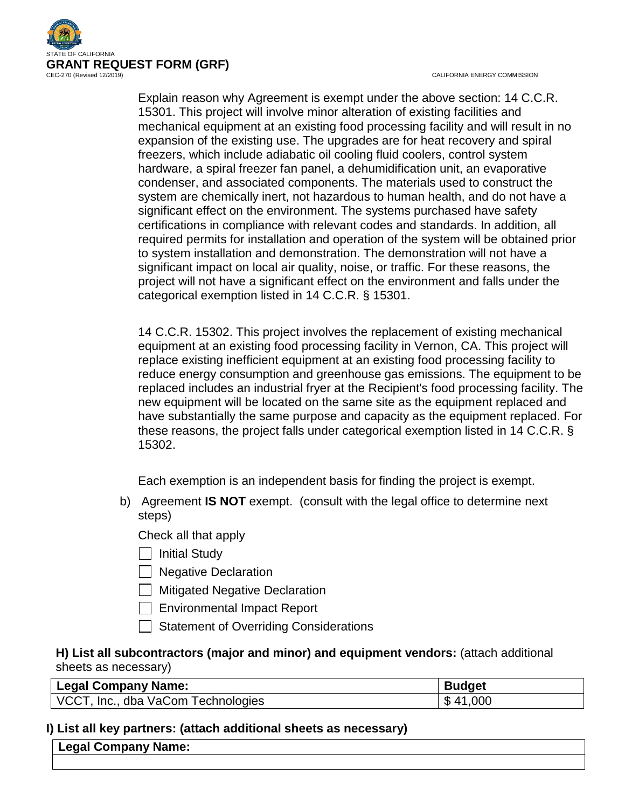

CALIFORNIA ENERGY COMMISSION

Explain reason why Agreement is exempt under the above section: 14 C.C.R. 15301. This project will involve minor alteration of existing facilities and mechanical equipment at an existing food processing facility and will result in no expansion of the existing use. The upgrades are for heat recovery and spiral freezers, which include adiabatic oil cooling fluid coolers, control system hardware, a spiral freezer fan panel, a dehumidification unit, an evaporative condenser, and associated components. The materials used to construct the system are chemically inert, not hazardous to human health, and do not have a significant effect on the environment. The systems purchased have safety certifications in compliance with relevant codes and standards. In addition, all required permits for installation and operation of the system will be obtained prior to system installation and demonstration. The demonstration will not have a significant impact on local air quality, noise, or traffic. For these reasons, the project will not have a significant effect on the environment and falls under the categorical exemption listed in 14 C.C.R. § 15301.

14 C.C.R. 15302. This project involves the replacement of existing mechanical equipment at an existing food processing facility in Vernon, CA. This project will replace existing inefficient equipment at an existing food processing facility to reduce energy consumption and greenhouse gas emissions. The equipment to be replaced includes an industrial fryer at the Recipient's food processing facility. The new equipment will be located on the same site as the equipment replaced and have substantially the same purpose and capacity as the equipment replaced. For these reasons, the project falls under categorical exemption listed in 14 C.C.R. § 15302.

Each exemption is an independent basis for finding the project is exempt.

b) Agreement **IS NOT** exempt. (consult with the legal office to determine next steps)

Check all that apply

- $\Box$  Initial Study
- **Negative Declaration**
- $\Box$  Mitigated Negative Declaration
- Environmental Impact Report
- Statement of Overriding Considerations

### **H) List all subcontractors (major and minor) and equipment vendors:** (attach additional sheets as necessary)

| Legal Company Name:                | <b>Budget</b> |
|------------------------------------|---------------|
| VCCT, Inc., dba VaCom Technologies | \$41,000      |

### **I) List all key partners: (attach additional sheets as necessary)**

| <b>Name:</b><br>---------<br>Legal<br>Cor<br>mpany |  |
|----------------------------------------------------|--|
|                                                    |  |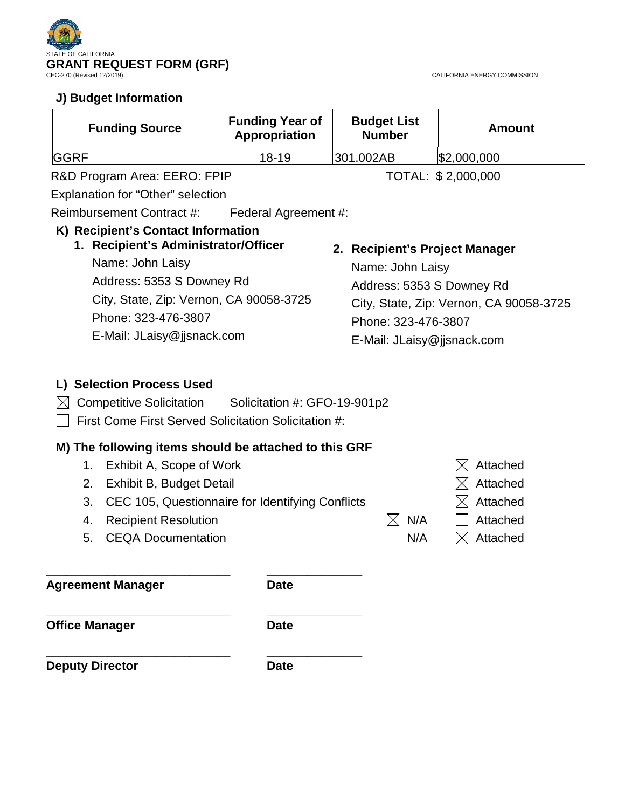

# **J) Budget Information**

CALIFORNIA ENERGY COMMISSION

| <b>Funding Source</b>        | <b>Funding Year of</b><br>Appropriation | <b>Budget List</b><br><b>Number</b> | <b>Amount</b>      |
|------------------------------|-----------------------------------------|-------------------------------------|--------------------|
| <b>GGRF</b>                  | $18-19$                                 | 301.002AB                           | \$2,000,000        |
| R&D Program Area: EERO: FPIP |                                         |                                     | TOTAL: \$2,000,000 |

Explanation for "Other" selection

Reimbursement Contract #: Federal Agreement #:

# **K) Recipient's Contact Information**

**1. Recipient's Administrator/Officer** Name: John Laisy Address: 5353 S Downey Rd City, State, Zip: Vernon, CA 90058-3725 Phone: 323-476-3807 E-Mail: JLaisy@jjsnack.com

# **2. Recipient's Project Manager**

Name: John Laisy Address: 5353 S Downey Rd City, State, Zip: Vernon, CA 90058-3725 Phone: 323-476-3807 E-Mail: JLaisy@jjsnack.com

# **L) Selection Process Used**

- $\boxtimes$  Competitive Solicitation Solicitation #: GFO-19-901p2
- $\Box$  First Come First Served Solicitation Solicitation #:

**\_\_\_\_\_\_\_\_\_\_\_\_\_\_\_\_\_\_\_\_\_\_\_\_\_\_\_ \_\_\_\_\_\_\_\_\_\_\_\_\_\_**

# **M) The following items should be attached to this GRF**

- 1. Exhibit A, Scope of Work  $\boxtimes$  Attached 2. Exhibit B, Budget Detail  $\boxtimes$  Attached 3. CEC 105, Questionnaire for Identifying Conflicts  $\boxtimes$  Attached 4. Recipient Resolution  $\boxtimes N/A$   $\Box$  Attached
	- 5. CEQA Documentation  $\Box$  N/A  $\Box$  Attached
- 

**\_\_\_\_\_\_\_\_\_\_\_\_\_\_\_\_\_\_\_\_\_\_\_\_\_\_\_ \_\_\_\_\_\_\_\_\_\_\_\_\_\_ Agreement Manager Date**

**Office Manager Date** 

**\_\_\_\_\_\_\_\_\_\_\_\_\_\_\_\_\_\_\_\_\_\_\_\_\_\_\_ \_\_\_\_\_\_\_\_\_\_\_\_\_\_ Deputy Director Date**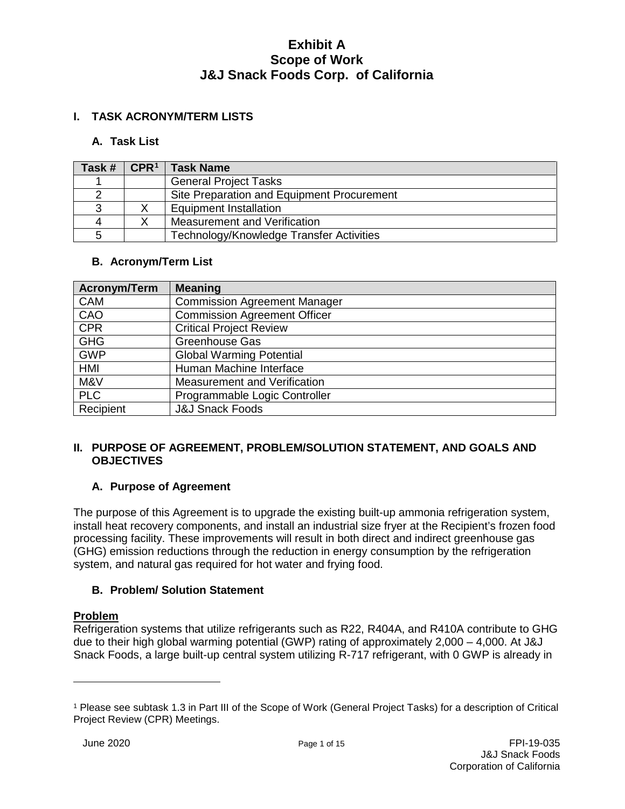### **I. TASK ACRONYM/TERM LISTS**

#### **A. Task List**

| Task # | CPR <sup>1</sup> | <b>Task Name</b>                           |
|--------|------------------|--------------------------------------------|
|        |                  | <b>General Project Tasks</b>               |
|        |                  | Site Preparation and Equipment Procurement |
|        |                  | <b>Equipment Installation</b>              |
|        |                  | Measurement and Verification               |
| 5      |                  | Technology/Knowledge Transfer Activities   |

#### **B. Acronym/Term List**

| Acronym/Term | <b>Meaning</b>                      |
|--------------|-------------------------------------|
| <b>CAM</b>   | <b>Commission Agreement Manager</b> |
| CAO          | <b>Commission Agreement Officer</b> |
| <b>CPR</b>   | <b>Critical Project Review</b>      |
| <b>GHG</b>   | <b>Greenhouse Gas</b>               |
| <b>GWP</b>   | <b>Global Warming Potential</b>     |
| HMI          | Human Machine Interface             |
| M&V          | Measurement and Verification        |
| <b>PLC</b>   | Programmable Logic Controller       |
| Recipient    | <b>J&amp;J Snack Foods</b>          |

#### **II. PURPOSE OF AGREEMENT, PROBLEM/SOLUTION STATEMENT, AND GOALS AND OBJECTIVES**

### **A. Purpose of Agreement**

The purpose of this Agreement is to upgrade the existing built-up ammonia refrigeration system, install heat recovery components, and install an industrial size fryer at the Recipient's frozen food processing facility. These improvements will result in both direct and indirect greenhouse gas (GHG) emission reductions through the reduction in energy consumption by the refrigeration system, and natural gas required for hot water and frying food.

### **B. Problem/ Solution Statement**

#### **Problem**

 $\overline{a}$ 

Refrigeration systems that utilize refrigerants such as R22, R404A, and R410A contribute to GHG due to their high global warming potential (GWP) rating of approximately 2,000 – 4,000. At J&J Snack Foods, a large built-up central system utilizing R-717 refrigerant, with 0 GWP is already in

<span id="page-3-0"></span><sup>1</sup> Please see subtask 1.3 in Part III of the Scope of Work (General Project Tasks) for a description of Critical Project Review (CPR) Meetings.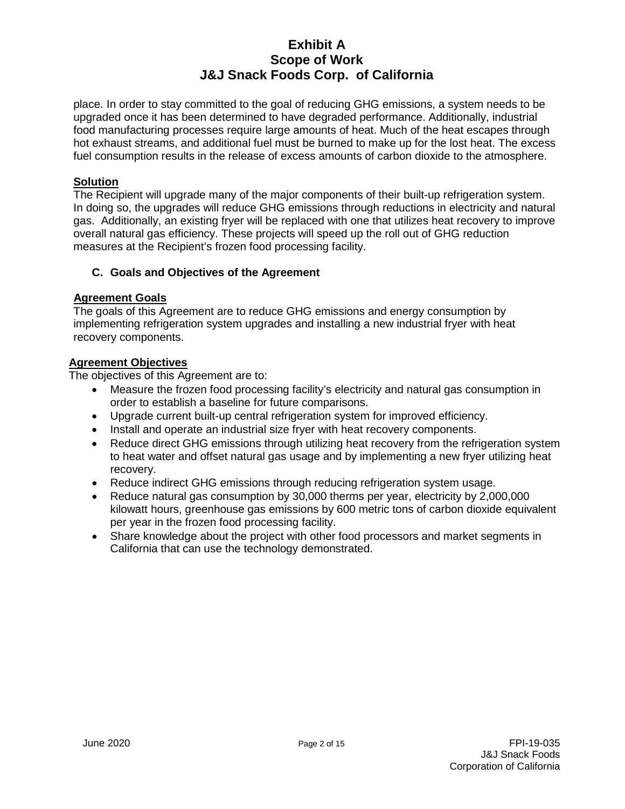place. In order to stay committed to the goal of reducing GHG emissions, a system needs to be upgraded once it has been determined to have degraded performance. Additionally, industrial food manufacturing processes require large amounts of heat. Much of the heat escapes through hot exhaust streams, and additional fuel must be burned to make up for the lost heat. The excess fuel consumption results in the release of excess amounts of carbon dioxide to the atmosphere.

#### **Solution**

The Recipient will upgrade many of the major components of their built-up refrigeration system. In doing so, the upgrades will reduce GHG emissions through reductions in electricity and natural gas. Additionally, an existing fryer will be replaced with one that utilizes heat recovery to improve overall natural gas efficiency. These projects will speed up the roll out of GHG reduction measures at the Recipient's frozen food processing facility.

#### **C. Goals and Objectives of the Agreement**

#### **Agreement Goals**

The goals of this Agreement are to reduce GHG emissions and energy consumption by implementing refrigeration system upgrades and installing a new industrial fryer with heat recovery components.

#### **Agreement Objectives**

The objectives of this Agreement are to:

- Measure the frozen food processing facility's electricity and natural gas consumption in order to establish a baseline for future comparisons.
- Upgrade current built-up central refrigeration system for improved efficiency.
- Install and operate an industrial size fryer with heat recovery components.
- Reduce direct GHG emissions through utilizing heat recovery from the refrigeration system to heat water and offset natural gas usage and by implementing a new fryer utilizing heat recovery.
- Reduce indirect GHG emissions through reducing refrigeration system usage.
- Reduce natural gas consumption by 30,000 therms per year, electricity by 2,000,000 kilowatt hours, greenhouse gas emissions by 600 metric tons of carbon dioxide equivalent per year in the frozen food processing facility.
- Share knowledge about the project with other food processors and market segments in California that can use the technology demonstrated.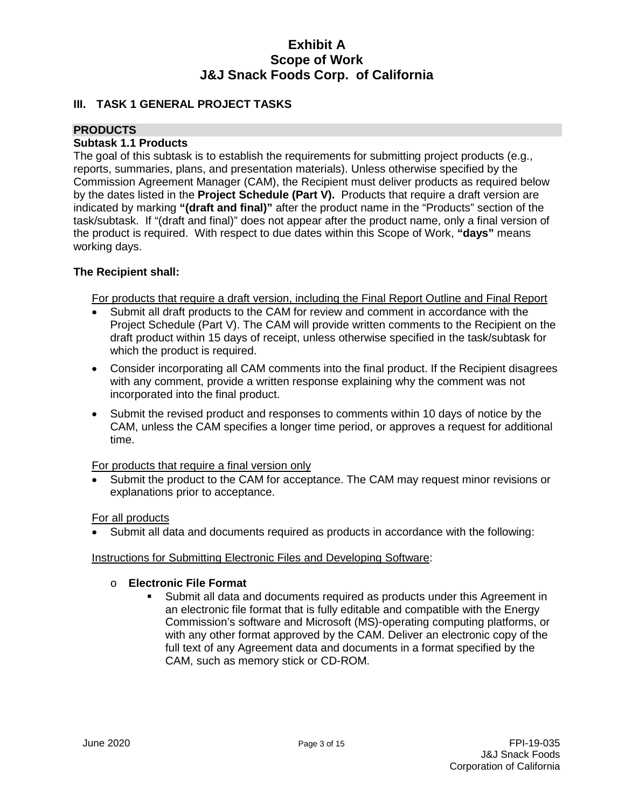#### **III. TASK 1 GENERAL PROJECT TASKS**

### **PRODUCTS**

### **Subtask 1.1 Products**

The goal of this subtask is to establish the requirements for submitting project products (e.g., reports, summaries, plans, and presentation materials). Unless otherwise specified by the Commission Agreement Manager (CAM), the Recipient must deliver products as required below by the dates listed in the **Project Schedule (Part V).** Products that require a draft version are indicated by marking **"(draft and final)"** after the product name in the "Products" section of the task/subtask. If "(draft and final)" does not appear after the product name, only a final version of the product is required. With respect to due dates within this Scope of Work, **"days"** means working days.

#### **The Recipient shall:**

For products that require a draft version, including the Final Report Outline and Final Report

- Submit all draft products to the CAM for review and comment in accordance with the Project Schedule (Part V). The CAM will provide written comments to the Recipient on the draft product within 15 days of receipt, unless otherwise specified in the task/subtask for which the product is required.
- Consider incorporating all CAM comments into the final product. If the Recipient disagrees with any comment, provide a written response explaining why the comment was not incorporated into the final product.
- Submit the revised product and responses to comments within 10 days of notice by the CAM, unless the CAM specifies a longer time period, or approves a request for additional time.

For products that require a final version only

• Submit the product to the CAM for acceptance. The CAM may request minor revisions or explanations prior to acceptance.

For all products

Submit all data and documents required as products in accordance with the following:

#### Instructions for Submitting Electronic Files and Developing Software:

# o **Electronic File Format**

 Submit all data and documents required as products under this Agreement in an electronic file format that is fully editable and compatible with the Energy Commission's software and Microsoft (MS)-operating computing platforms, or with any other format approved by the CAM. Deliver an electronic copy of the full text of any Agreement data and documents in a format specified by the CAM, such as memory stick or CD-ROM.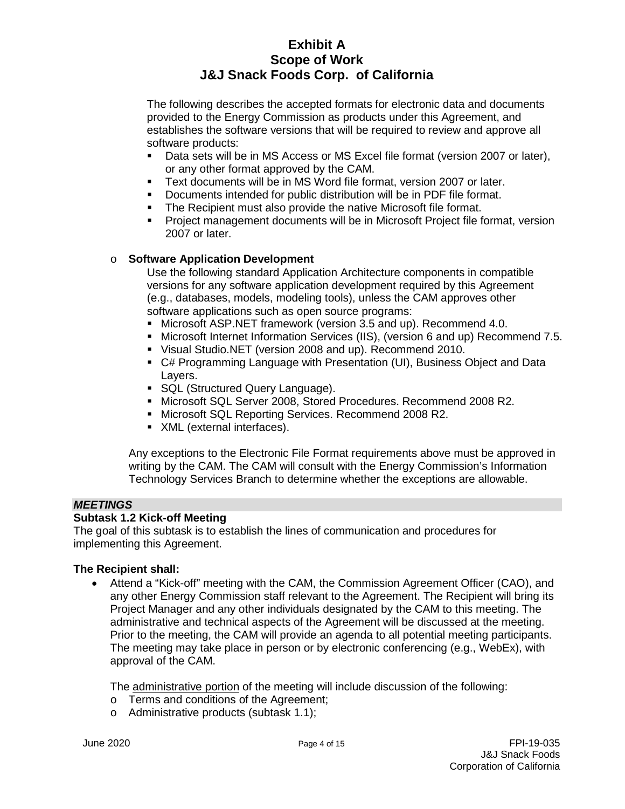The following describes the accepted formats for electronic data and documents provided to the Energy Commission as products under this Agreement, and establishes the software versions that will be required to review and approve all software products:

- Data sets will be in MS Access or MS Excel file format (version 2007 or later), or any other format approved by the CAM.
- Text documents will be in MS Word file format, version 2007 or later.
- Documents intended for public distribution will be in PDF file format.
- **The Recipient must also provide the native Microsoft file format.**
- Project management documents will be in Microsoft Project file format, version 2007 or later.

#### o **Software Application Development**

Use the following standard Application Architecture components in compatible versions for any software application development required by this Agreement (e.g., databases, models, modeling tools), unless the CAM approves other software applications such as open source programs:

- Microsoft ASP.NET framework (version 3.5 and up). Recommend 4.0.
- Microsoft Internet Information Services (IIS), (version 6 and up) Recommend 7.5.
- Visual Studio.NET (version 2008 and up). Recommend 2010.
- C# Programming Language with Presentation (UI), Business Object and Data Layers.
- **SQL (Structured Query Language).**
- Microsoft SQL Server 2008, Stored Procedures. Recommend 2008 R2.
- **Microsoft SQL Reporting Services. Recommend 2008 R2.**
- **XML** (external interfaces).

Any exceptions to the Electronic File Format requirements above must be approved in writing by the CAM. The CAM will consult with the Energy Commission's Information Technology Services Branch to determine whether the exceptions are allowable.

#### *MEETINGS*

#### **Subtask 1.2 Kick-off Meeting**

The goal of this subtask is to establish the lines of communication and procedures for implementing this Agreement.

#### **The Recipient shall:**

• Attend a "Kick-off" meeting with the CAM, the Commission Agreement Officer (CAO), and any other Energy Commission staff relevant to the Agreement. The Recipient will bring its Project Manager and any other individuals designated by the CAM to this meeting. The administrative and technical aspects of the Agreement will be discussed at the meeting. Prior to the meeting, the CAM will provide an agenda to all potential meeting participants. The meeting may take place in person or by electronic conferencing (e.g., WebEx), with approval of the CAM.

The administrative portion of the meeting will include discussion of the following:

- o Terms and conditions of the Agreement;
- o Administrative products (subtask 1.1);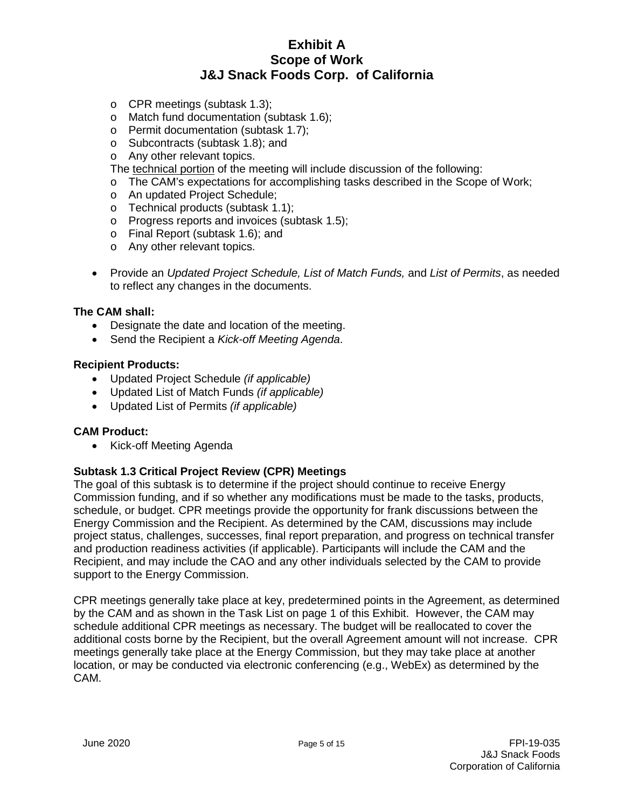- o CPR meetings (subtask 1.3);
- o Match fund documentation (subtask 1.6);
- o Permit documentation (subtask 1.7);
- o Subcontracts (subtask 1.8); and
- o Any other relevant topics.

The technical portion of the meeting will include discussion of the following:

- o The CAM's expectations for accomplishing tasks described in the Scope of Work;
- o An updated Project Schedule;
- o Technical products (subtask 1.1);
- o Progress reports and invoices (subtask 1.5);
- o Final Report (subtask 1.6); and
- o Any other relevant topics.
- Provide an *Updated Project Schedule, List of Match Funds,* and *List of Permits*, as needed to reflect any changes in the documents.

#### **The CAM shall:**

- Designate the date and location of the meeting.
- Send the Recipient a *Kick-off Meeting Agenda*.

#### **Recipient Products:**

- Updated Project Schedule *(if applicable)*
- Updated List of Match Funds *(if applicable)*
- Updated List of Permits *(if applicable)*

#### **CAM Product:**

• Kick-off Meeting Agenda

#### **Subtask 1.3 Critical Project Review (CPR) Meetings**

The goal of this subtask is to determine if the project should continue to receive Energy Commission funding, and if so whether any modifications must be made to the tasks, products, schedule, or budget. CPR meetings provide the opportunity for frank discussions between the Energy Commission and the Recipient. As determined by the CAM, discussions may include project status, challenges, successes, final report preparation, and progress on technical transfer and production readiness activities (if applicable). Participants will include the CAM and the Recipient, and may include the CAO and any other individuals selected by the CAM to provide support to the Energy Commission.

CPR meetings generally take place at key, predetermined points in the Agreement, as determined by the CAM and as shown in the Task List on page 1 of this Exhibit. However, the CAM may schedule additional CPR meetings as necessary. The budget will be reallocated to cover the additional costs borne by the Recipient, but the overall Agreement amount will not increase. CPR meetings generally take place at the Energy Commission, but they may take place at another location, or may be conducted via electronic conferencing (e.g., WebEx) as determined by the CAM.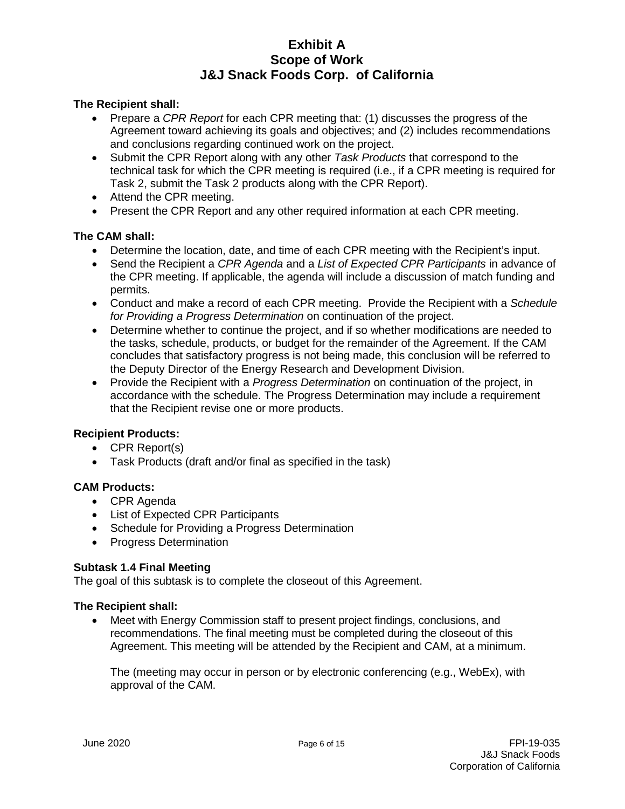#### **The Recipient shall:**

- Prepare a *CPR Report* for each CPR meeting that: (1) discusses the progress of the Agreement toward achieving its goals and objectives; and (2) includes recommendations and conclusions regarding continued work on the project.
- Submit the CPR Report along with any other *Task Products* that correspond to the technical task for which the CPR meeting is required (i.e., if a CPR meeting is required for Task 2, submit the Task 2 products along with the CPR Report).
- Attend the CPR meeting.
- Present the CPR Report and any other required information at each CPR meeting.

### **The CAM shall:**

- Determine the location, date, and time of each CPR meeting with the Recipient's input.
- Send the Recipient a *CPR Agenda* and a *List of Expected CPR Participants* in advance of the CPR meeting. If applicable, the agenda will include a discussion of match funding and permits.
- Conduct and make a record of each CPR meeting. Provide the Recipient with a *Schedule for Providing a Progress Determination* on continuation of the project.
- Determine whether to continue the project, and if so whether modifications are needed to the tasks, schedule, products, or budget for the remainder of the Agreement. If the CAM concludes that satisfactory progress is not being made, this conclusion will be referred to the Deputy Director of the Energy Research and Development Division.
- Provide the Recipient with a *Progress Determination* on continuation of the project, in accordance with the schedule. The Progress Determination may include a requirement that the Recipient revise one or more products.

### **Recipient Products:**

- CPR Report(s)
- Task Products (draft and/or final as specified in the task)

#### **CAM Products:**

- CPR Agenda
- List of Expected CPR Participants
- Schedule for Providing a Progress Determination
- Progress Determination

#### **Subtask 1.4 Final Meeting**

The goal of this subtask is to complete the closeout of this Agreement.

#### **The Recipient shall:**

• Meet with Energy Commission staff to present project findings, conclusions, and recommendations. The final meeting must be completed during the closeout of this Agreement. This meeting will be attended by the Recipient and CAM, at a minimum.

The (meeting may occur in person or by electronic conferencing (e.g., WebEx), with approval of the CAM.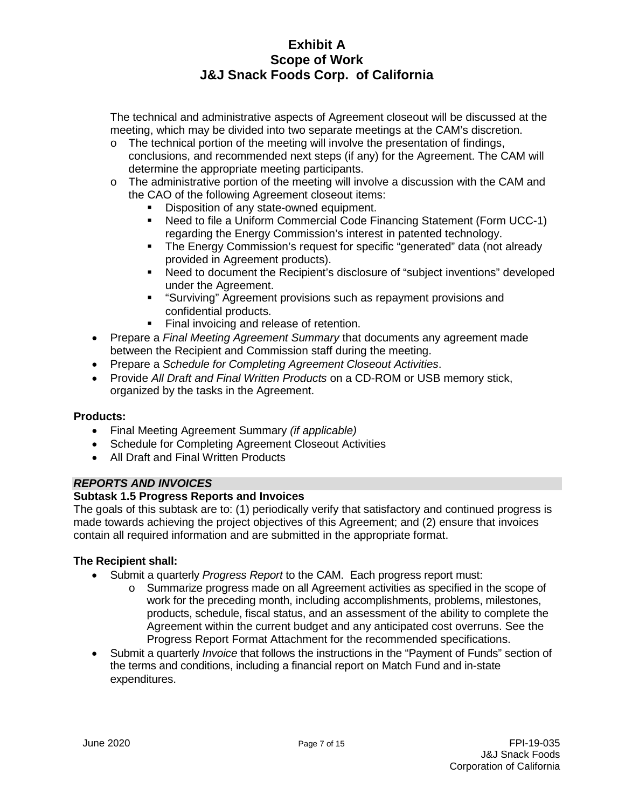The technical and administrative aspects of Agreement closeout will be discussed at the meeting, which may be divided into two separate meetings at the CAM's discretion.

- $\circ$  The technical portion of the meeting will involve the presentation of findings, conclusions, and recommended next steps (if any) for the Agreement. The CAM will determine the appropriate meeting participants.
- $\circ$  The administrative portion of the meeting will involve a discussion with the CAM and the CAO of the following Agreement closeout items:
	- Disposition of any state-owned equipment.
	- Need to file a Uniform Commercial Code Financing Statement (Form UCC-1) regarding the Energy Commission's interest in patented technology.
	- The Energy Commission's request for specific "generated" data (not already provided in Agreement products).
	- Need to document the Recipient's disclosure of "subject inventions" developed under the Agreement.
	- **EXECT:** "Surviving" Agreement provisions such as repayment provisions and confidential products.
	- Final invoicing and release of retention.
- Prepare a *Final Meeting Agreement Summary* that documents any agreement made between the Recipient and Commission staff during the meeting.
- Prepare a *Schedule for Completing Agreement Closeout Activities*.
- Provide *All Draft and Final Written Products* on a CD-ROM or USB memory stick, organized by the tasks in the Agreement.

#### **Products:**

- Final Meeting Agreement Summary *(if applicable)*
- Schedule for Completing Agreement Closeout Activities
- All Draft and Final Written Products

### *REPORTS AND INVOICES*

#### **Subtask 1.5 Progress Reports and Invoices**

The goals of this subtask are to: (1) periodically verify that satisfactory and continued progress is made towards achieving the project objectives of this Agreement; and (2) ensure that invoices contain all required information and are submitted in the appropriate format.

- Submit a quarterly *Progress Report* to the CAM. Each progress report must:
	- o Summarize progress made on all Agreement activities as specified in the scope of work for the preceding month, including accomplishments, problems, milestones, products, schedule, fiscal status, and an assessment of the ability to complete the Agreement within the current budget and any anticipated cost overruns. See the Progress Report Format Attachment for the recommended specifications.
- Submit a quarterly *Invoice* that follows the instructions in the "Payment of Funds" section of the terms and conditions, including a financial report on Match Fund and in-state expenditures.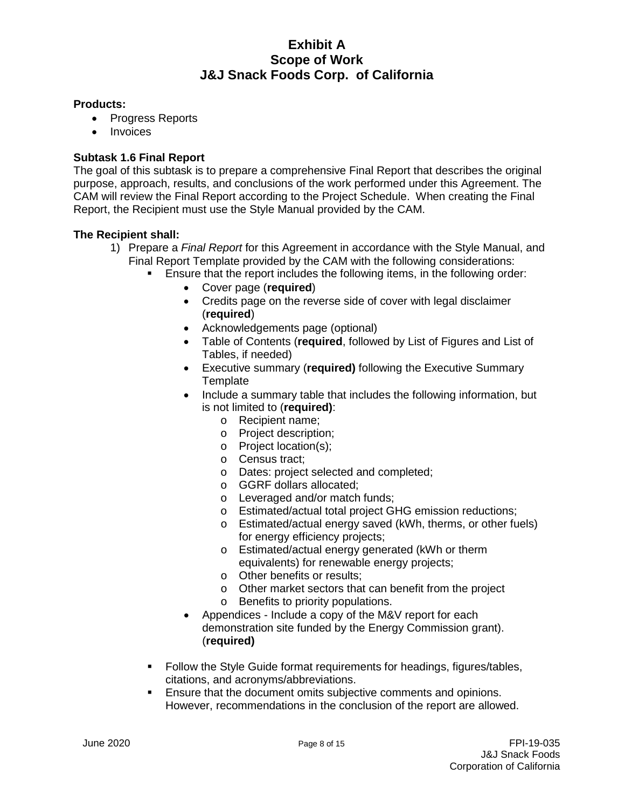#### **Products:**

- Progress Reports
- **Invoices**

### **Subtask 1.6 Final Report**

The goal of this subtask is to prepare a comprehensive Final Report that describes the original purpose, approach, results, and conclusions of the work performed under this Agreement. The CAM will review the Final Report according to the Project Schedule. When creating the Final Report, the Recipient must use the Style Manual provided by the CAM.

- 1) Prepare a *Final Report* for this Agreement in accordance with the Style Manual, and Final Report Template provided by the CAM with the following considerations:
	- Ensure that the report includes the following items, in the following order:
		- Cover page (**required**)
		- Credits page on the reverse side of cover with legal disclaimer (**required**)
		- Acknowledgements page (optional)
		- Table of Contents (**required**, followed by List of Figures and List of Tables, if needed)
		- Executive summary (**required)** following the Executive Summary **Template**
		- Include a summary table that includes the following information, but is not limited to (**required)**:
			- o Recipient name;
			- o Project description;
			- o Project location(s);
			- o Census tract;
			- o Dates: project selected and completed;
			- o GGRF dollars allocated;
			- o Leveraged and/or match funds;
			- o Estimated/actual total project GHG emission reductions;
			- o Estimated/actual energy saved (kWh, therms, or other fuels) for energy efficiency projects;
			- o Estimated/actual energy generated (kWh or therm equivalents) for renewable energy projects;
			- o Other benefits or results;
			- o Other market sectors that can benefit from the project
			- o Benefits to priority populations.
		- Appendices Include a copy of the M&V report for each demonstration site funded by the Energy Commission grant). (**required)**
	- Follow the Style Guide format requirements for headings, figures/tables, citations, and acronyms/abbreviations.
	- Ensure that the document omits subjective comments and opinions. However, recommendations in the conclusion of the report are allowed.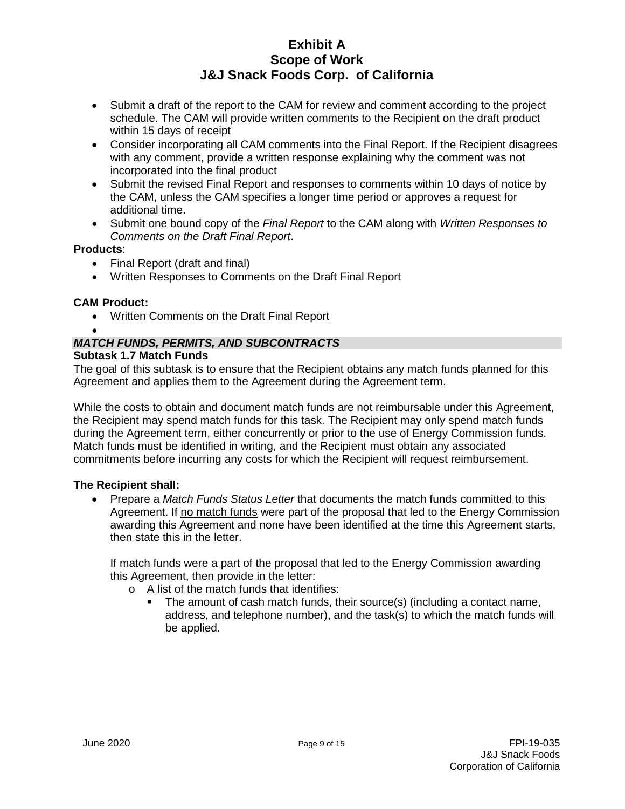- Submit a draft of the report to the CAM for review and comment according to the project schedule. The CAM will provide written comments to the Recipient on the draft product within 15 days of receipt
- Consider incorporating all CAM comments into the Final Report. If the Recipient disagrees with any comment, provide a written response explaining why the comment was not incorporated into the final product
- Submit the revised Final Report and responses to comments within 10 days of notice by the CAM, unless the CAM specifies a longer time period or approves a request for additional time.
- Submit one bound copy of the *Final Report* to the CAM along with *Written Responses to Comments on the Draft Final Report*.

#### **Products**:

- Final Report (draft and final)
- Written Responses to Comments on the Draft Final Report

#### **CAM Product:**

• Written Comments on the Draft Final Report

#### • *MATCH FUNDS, PERMITS, AND SUBCONTRACTS* **Subtask 1.7 Match Funds**

The goal of this subtask is to ensure that the Recipient obtains any match funds planned for this Agreement and applies them to the Agreement during the Agreement term.

While the costs to obtain and document match funds are not reimbursable under this Agreement, the Recipient may spend match funds for this task. The Recipient may only spend match funds during the Agreement term, either concurrently or prior to the use of Energy Commission funds. Match funds must be identified in writing, and the Recipient must obtain any associated commitments before incurring any costs for which the Recipient will request reimbursement.

#### **The Recipient shall:**

• Prepare a *Match Funds Status Letter* that documents the match funds committed to this Agreement. If no match funds were part of the proposal that led to the Energy Commission awarding this Agreement and none have been identified at the time this Agreement starts, then state this in the letter.

If match funds were a part of the proposal that led to the Energy Commission awarding this Agreement, then provide in the letter:

- o A list of the match funds that identifies:
	- The amount of cash match funds, their source(s) (including a contact name, address, and telephone number), and the task(s) to which the match funds will be applied.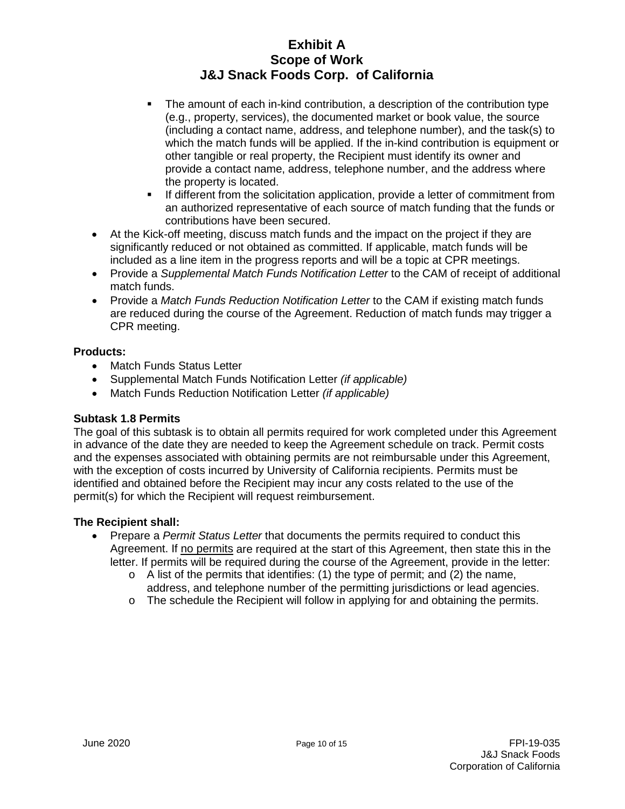- The amount of each in-kind contribution, a description of the contribution type (e.g., property, services), the documented market or book value, the source (including a contact name, address, and telephone number), and the task(s) to which the match funds will be applied. If the in-kind contribution is equipment or other tangible or real property, the Recipient must identify its owner and provide a contact name, address, telephone number, and the address where the property is located.
- If different from the solicitation application, provide a letter of commitment from an authorized representative of each source of match funding that the funds or contributions have been secured.
- At the Kick-off meeting, discuss match funds and the impact on the project if they are significantly reduced or not obtained as committed. If applicable, match funds will be included as a line item in the progress reports and will be a topic at CPR meetings.
- Provide a *Supplemental Match Funds Notification Letter* to the CAM of receipt of additional match funds.
- Provide a *Match Funds Reduction Notification Letter* to the CAM if existing match funds are reduced during the course of the Agreement. Reduction of match funds may trigger a CPR meeting.

#### **Products:**

- Match Funds Status Letter
- Supplemental Match Funds Notification Letter *(if applicable)*
- Match Funds Reduction Notification Letter *(if applicable)*

#### **Subtask 1.8 Permits**

The goal of this subtask is to obtain all permits required for work completed under this Agreement in advance of the date they are needed to keep the Agreement schedule on track. Permit costs and the expenses associated with obtaining permits are not reimbursable under this Agreement, with the exception of costs incurred by University of California recipients. Permits must be identified and obtained before the Recipient may incur any costs related to the use of the permit(s) for which the Recipient will request reimbursement.

- Prepare a *Permit Status Letter* that documents the permits required to conduct this Agreement. If no permits are required at the start of this Agreement, then state this in the letter. If permits will be required during the course of the Agreement, provide in the letter:
	- $\circ$  A list of the permits that identifies: (1) the type of permit; and (2) the name, address, and telephone number of the permitting jurisdictions or lead agencies.
	- $\circ$  The schedule the Recipient will follow in applying for and obtaining the permits.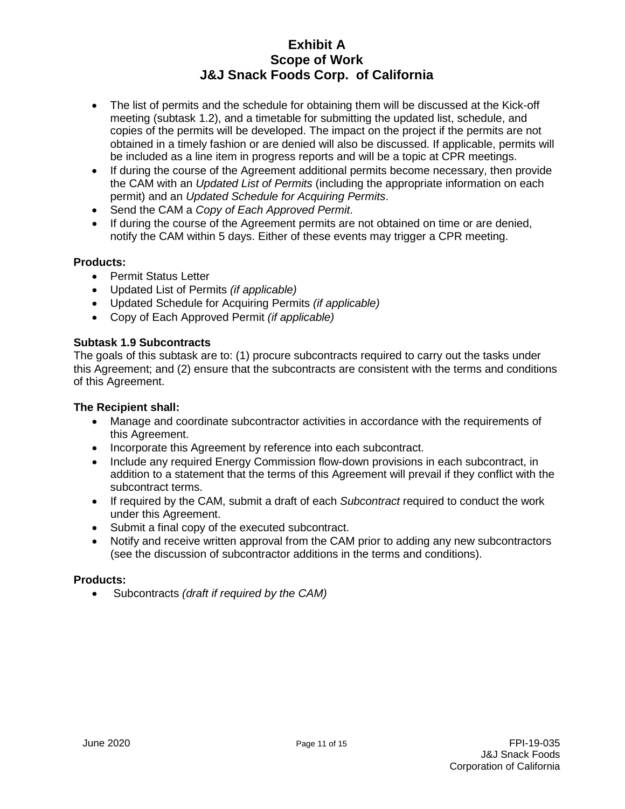- The list of permits and the schedule for obtaining them will be discussed at the Kick-off meeting (subtask 1.2), and a timetable for submitting the updated list, schedule, and copies of the permits will be developed. The impact on the project if the permits are not obtained in a timely fashion or are denied will also be discussed. If applicable, permits will be included as a line item in progress reports and will be a topic at CPR meetings.
- If during the course of the Agreement additional permits become necessary, then provide the CAM with an *Updated List of Permits* (including the appropriate information on each permit) and an *Updated Schedule for Acquiring Permits*.
- Send the CAM a *Copy of Each Approved Permit*.
- If during the course of the Agreement permits are not obtained on time or are denied, notify the CAM within 5 days. Either of these events may trigger a CPR meeting.

### **Products:**

- Permit Status Letter
- Updated List of Permits *(if applicable)*
- Updated Schedule for Acquiring Permits *(if applicable)*
- Copy of Each Approved Permit *(if applicable)*

#### **Subtask 1.9 Subcontracts**

The goals of this subtask are to: (1) procure subcontracts required to carry out the tasks under this Agreement; and (2) ensure that the subcontracts are consistent with the terms and conditions of this Agreement.

#### **The Recipient shall:**

- Manage and coordinate subcontractor activities in accordance with the requirements of this Agreement.
- Incorporate this Agreement by reference into each subcontract.
- Include any required Energy Commission flow-down provisions in each subcontract, in addition to a statement that the terms of this Agreement will prevail if they conflict with the subcontract terms.
- If required by the CAM, submit a draft of each *Subcontract* required to conduct the work under this Agreement.
- Submit a final copy of the executed subcontract.
- Notify and receive written approval from the CAM prior to adding any new subcontractors (see the discussion of subcontractor additions in the terms and conditions).

#### **Products:**

• Subcontracts *(draft if required by the CAM)*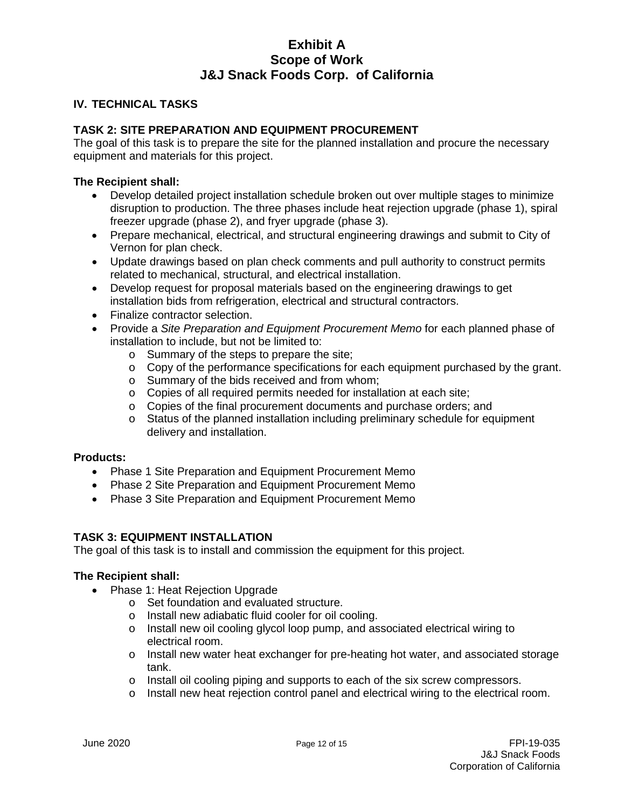#### **IV. TECHNICAL TASKS**

### **TASK 2: SITE PREPARATION AND EQUIPMENT PROCUREMENT**

The goal of this task is to prepare the site for the planned installation and procure the necessary equipment and materials for this project.

#### **The Recipient shall:**

- Develop detailed project installation schedule broken out over multiple stages to minimize disruption to production. The three phases include heat rejection upgrade (phase 1), spiral freezer upgrade (phase 2), and fryer upgrade (phase 3).
- Prepare mechanical, electrical, and structural engineering drawings and submit to City of Vernon for plan check.
- Update drawings based on plan check comments and pull authority to construct permits related to mechanical, structural, and electrical installation.
- Develop request for proposal materials based on the engineering drawings to get installation bids from refrigeration, electrical and structural contractors.
- Finalize contractor selection.
- Provide a *Site Preparation and Equipment Procurement Memo* for each planned phase of installation to include, but not be limited to:
	- o Summary of the steps to prepare the site;
	- $\circ$  Copy of the performance specifications for each equipment purchased by the grant.
	- o Summary of the bids received and from whom;
	- o Copies of all required permits needed for installation at each site;
	- o Copies of the final procurement documents and purchase orders; and
	- $\circ$  Status of the planned installation including preliminary schedule for equipment delivery and installation.

#### **Products:**

- Phase 1 Site Preparation and Equipment Procurement Memo
- Phase 2 Site Preparation and Equipment Procurement Memo
- Phase 3 Site Preparation and Equipment Procurement Memo

#### **TASK 3: EQUIPMENT INSTALLATION**

The goal of this task is to install and commission the equipment for this project.

- Phase 1: Heat Rejection Upgrade
	- o Set foundation and evaluated structure.
	- o Install new adiabatic fluid cooler for oil cooling.
	- o Install new oil cooling glycol loop pump, and associated electrical wiring to electrical room.
	- $\circ$  Install new water heat exchanger for pre-heating hot water, and associated storage tank.
	- o Install oil cooling piping and supports to each of the six screw compressors.
	- o Install new heat rejection control panel and electrical wiring to the electrical room.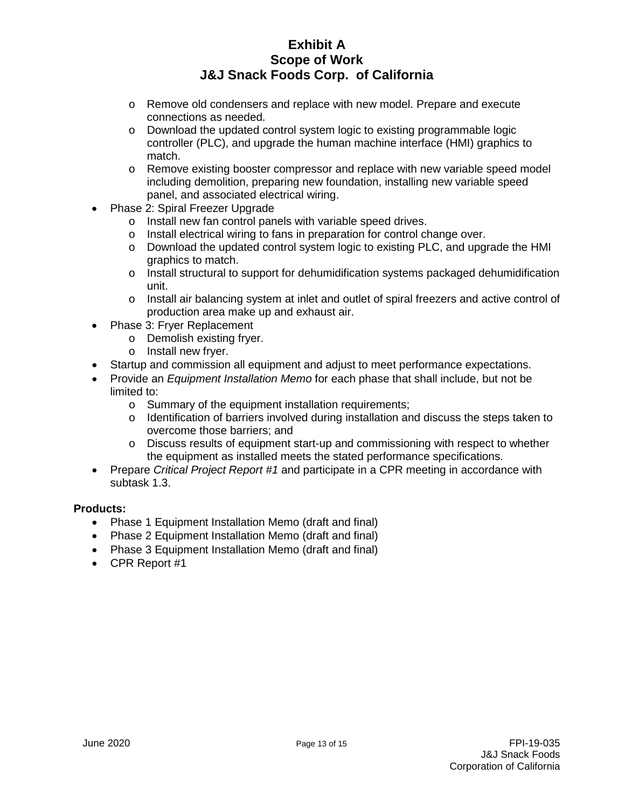- o Remove old condensers and replace with new model. Prepare and execute connections as needed.
- o Download the updated control system logic to existing programmable logic controller (PLC), and upgrade the human machine interface (HMI) graphics to match.
- o Remove existing booster compressor and replace with new variable speed model including demolition, preparing new foundation, installing new variable speed panel, and associated electrical wiring.
- Phase 2: Spiral Freezer Upgrade
	- o Install new fan control panels with variable speed drives.
	- o Install electrical wiring to fans in preparation for control change over.
	- o Download the updated control system logic to existing PLC, and upgrade the HMI graphics to match.
	- $\circ$  Install structural to support for dehumidification systems packaged dehumidification unit.
	- o Install air balancing system at inlet and outlet of spiral freezers and active control of production area make up and exhaust air.
- Phase 3: Fryer Replacement
	- o Demolish existing fryer.
	- o Install new fryer.
- Startup and commission all equipment and adjust to meet performance expectations.
- Provide an *Equipment Installation Memo* for each phase that shall include, but not be limited to:
	- o Summary of the equipment installation requirements;
	- o Identification of barriers involved during installation and discuss the steps taken to overcome those barriers; and
	- o Discuss results of equipment start-up and commissioning with respect to whether the equipment as installed meets the stated performance specifications.
- Prepare *Critical Project Report #1* and participate in a CPR meeting in accordance with subtask 1.3.

#### **Products:**

- Phase 1 Equipment Installation Memo (draft and final)
- Phase 2 Equipment Installation Memo (draft and final)
- Phase 3 Equipment Installation Memo (draft and final)
- CPR Report #1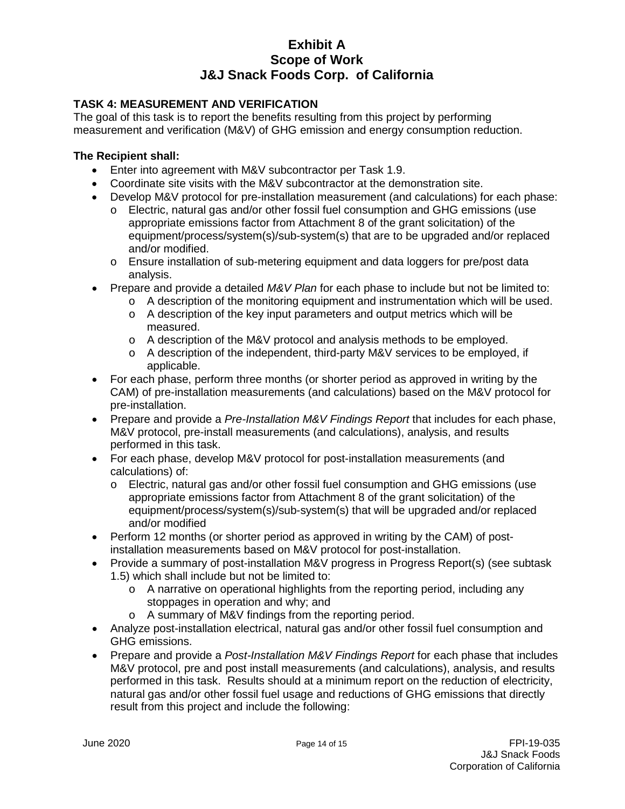### **TASK 4: MEASUREMENT AND VERIFICATION**

The goal of this task is to report the benefits resulting from this project by performing measurement and verification (M&V) of GHG emission and energy consumption reduction.

- Enter into agreement with M&V subcontractor per Task 1.9.
- Coordinate site visits with the M&V subcontractor at the demonstration site.
- Develop M&V protocol for pre-installation measurement (and calculations) for each phase:
	- o Electric, natural gas and/or other fossil fuel consumption and GHG emissions (use appropriate emissions factor from Attachment 8 of the grant solicitation) of the equipment/process/system(s)/sub-system(s) that are to be upgraded and/or replaced and/or modified.
	- o Ensure installation of sub-metering equipment and data loggers for pre/post data analysis.
- Prepare and provide a detailed *M&V Plan* for each phase to include but not be limited to:
	- $\circ$  A description of the monitoring equipment and instrumentation which will be used.
	- o A description of the key input parameters and output metrics which will be measured.
	- o A description of the M&V protocol and analysis methods to be employed.
	- o A description of the independent, third-party M&V services to be employed, if applicable.
- For each phase, perform three months (or shorter period as approved in writing by the CAM) of pre-installation measurements (and calculations) based on the M&V protocol for pre-installation.
- Prepare and provide a *Pre-Installation M&V Findings Report* that includes for each phase, M&V protocol, pre-install measurements (and calculations), analysis, and results performed in this task.
- For each phase, develop M&V protocol for post-installation measurements (and calculations) of:
	- o Electric, natural gas and/or other fossil fuel consumption and GHG emissions (use appropriate emissions factor from Attachment 8 of the grant solicitation) of the equipment/process/system(s)/sub-system(s) that will be upgraded and/or replaced and/or modified
- Perform 12 months (or shorter period as approved in writing by the CAM) of postinstallation measurements based on M&V protocol for post-installation.
- Provide a summary of post-installation M&V progress in Progress Report(s) (see subtask 1.5) which shall include but not be limited to:
	- o A narrative on operational highlights from the reporting period, including any stoppages in operation and why; and
	- o A summary of M&V findings from the reporting period.
- Analyze post-installation electrical, natural gas and/or other fossil fuel consumption and GHG emissions.
- Prepare and provide a *Post-Installation M&V Findings Report* for each phase that includes M&V protocol, pre and post install measurements (and calculations), analysis, and results performed in this task. Results should at a minimum report on the reduction of electricity, natural gas and/or other fossil fuel usage and reductions of GHG emissions that directly result from this project and include the following: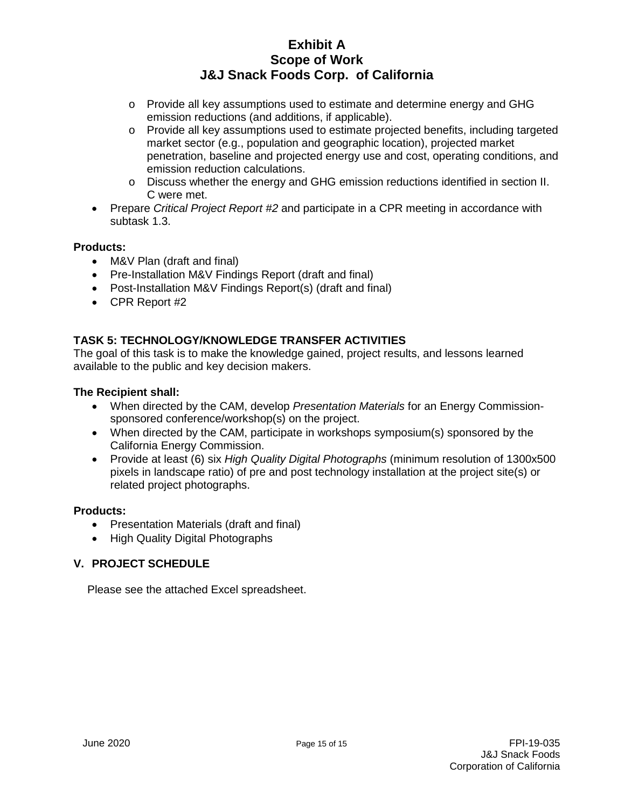- o Provide all key assumptions used to estimate and determine energy and GHG emission reductions (and additions, if applicable).
- o Provide all key assumptions used to estimate projected benefits, including targeted market sector (e.g., population and geographic location), projected market penetration, baseline and projected energy use and cost, operating conditions, and emission reduction calculations.
- o Discuss whether the energy and GHG emission reductions identified in section II. C were met.
- Prepare *Critical Project Report #2* and participate in a CPR meeting in accordance with subtask 1.3.

#### **Products:**

- M&V Plan (draft and final)
- Pre-Installation M&V Findings Report (draft and final)
- Post-Installation M&V Findings Report(s) (draft and final)
- CPR Report #2

### **TASK 5: TECHNOLOGY/KNOWLEDGE TRANSFER ACTIVITIES**

The goal of this task is to make the knowledge gained, project results, and lessons learned available to the public and key decision makers.

#### **The Recipient shall:**

- When directed by the CAM, develop *Presentation Materials* for an Energy Commissionsponsored conference/workshop(s) on the project.
- When directed by the CAM, participate in workshops symposium(s) sponsored by the California Energy Commission.
- Provide at least (6) six *High Quality Digital Photographs* (minimum resolution of 1300x500 pixels in landscape ratio) of pre and post technology installation at the project site(s) or related project photographs.

#### **Products:**

- Presentation Materials (draft and final)
- High Quality Digital Photographs

#### **V. PROJECT SCHEDULE**

Please see the attached Excel spreadsheet.